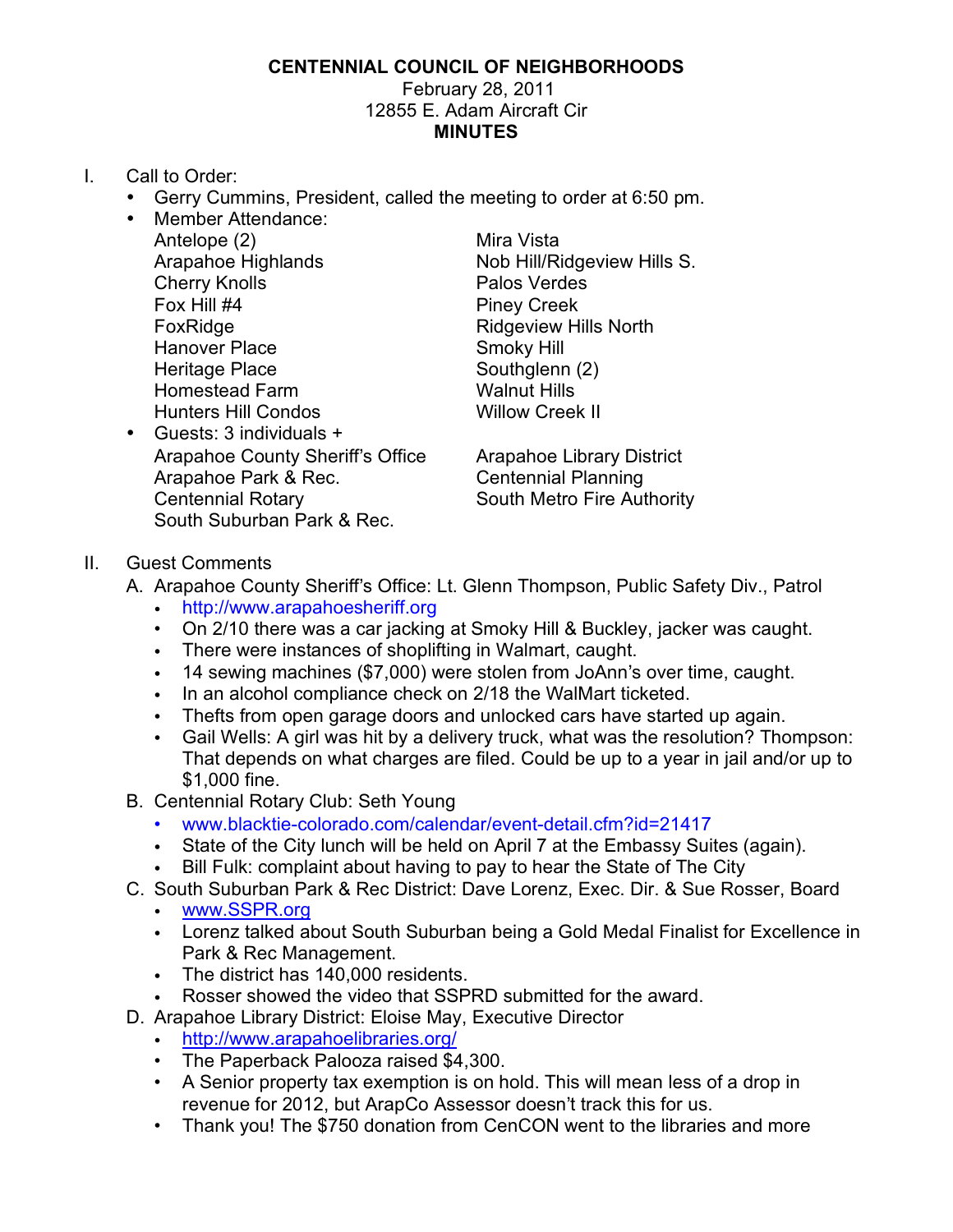## **CENTENNIAL COUNCIL OF NEIGHBORHOODS**

## February 28, 2011 12855 E. Adam Aircraft Cir **MINUTES**

- I. Call to Order:
	- Gerry Cummins, President, called the meeting to order at 6:50 pm.
	- Member Attendance: Antelope (2) Mira Vista Cherry Knolls **Palos Verdes** Fox Hill #4 Piney Creek FoxRidge **Ridgeview Hills North** Hanover Place Smoky Hill Heritage Place Southglenn (2) Homestead Farm Walnut Hills Hunters Hill Condos Willow Creek II
	- Guests: 3 individuals + Arapahoe County Sheriff's Office Arapahoe Library District Arapahoe Park & Rec. Centennial Planning Centennial Rotary **South Metro Fire Authority** South Suburban Park & Rec.

Arapahoe Highlands Nob Hill/Ridgeview Hills S.

- II. Guest Comments
	- A. Arapahoe County Sheriff's Office: Lt. Glenn Thompson, Public Safety Div., Patrol
		- http://www.arapahoesheriff.org
		- On 2/10 there was a car jacking at Smoky Hill & Buckley, jacker was caught.
		- There were instances of shoplifting in Walmart, caught.
		- 14 sewing machines (\$7,000) were stolen from JoAnn's over time, caught.
		- In an alcohol compliance check on 2/18 the WalMart ticketed.
		- Thefts from open garage doors and unlocked cars have started up again.
		- Gail Wells: A girl was hit by a delivery truck, what was the resolution? Thompson: That depends on what charges are filed. Could be up to a year in jail and/or up to \$1,000 fine.
	- B. Centennial Rotary Club: Seth Young
		- www.blacktie-colorado.com/calendar/event-detail.cfm?id=21417
		- State of the City lunch will be held on April 7 at the Embassy Suites (again).
		- Bill Fulk: complaint about having to pay to hear the State of The City
	- C. South Suburban Park & Rec District: Dave Lorenz, Exec. Dir. & Sue Rosser, Board
		- www.SSPR.org
		- Lorenz talked about South Suburban being a Gold Medal Finalist for Excellence in Park & Rec Management.
		- The district has 140,000 residents.<br>• Rosser showed the video that SSP
		- Rosser showed the video that SSPRD submitted for the award.
	- D. Arapahoe Library District: Eloise May, Executive Director
		- http://www.arapahoelibraries.org/
		- The Paperback Palooza raised \$4,300.
		- A Senior property tax exemption is on hold. This will mean less of a drop in revenue for 2012, but ArapCo Assessor doesn't track this for us.
		- Thank you! The \$750 donation from CenCON went to the libraries and more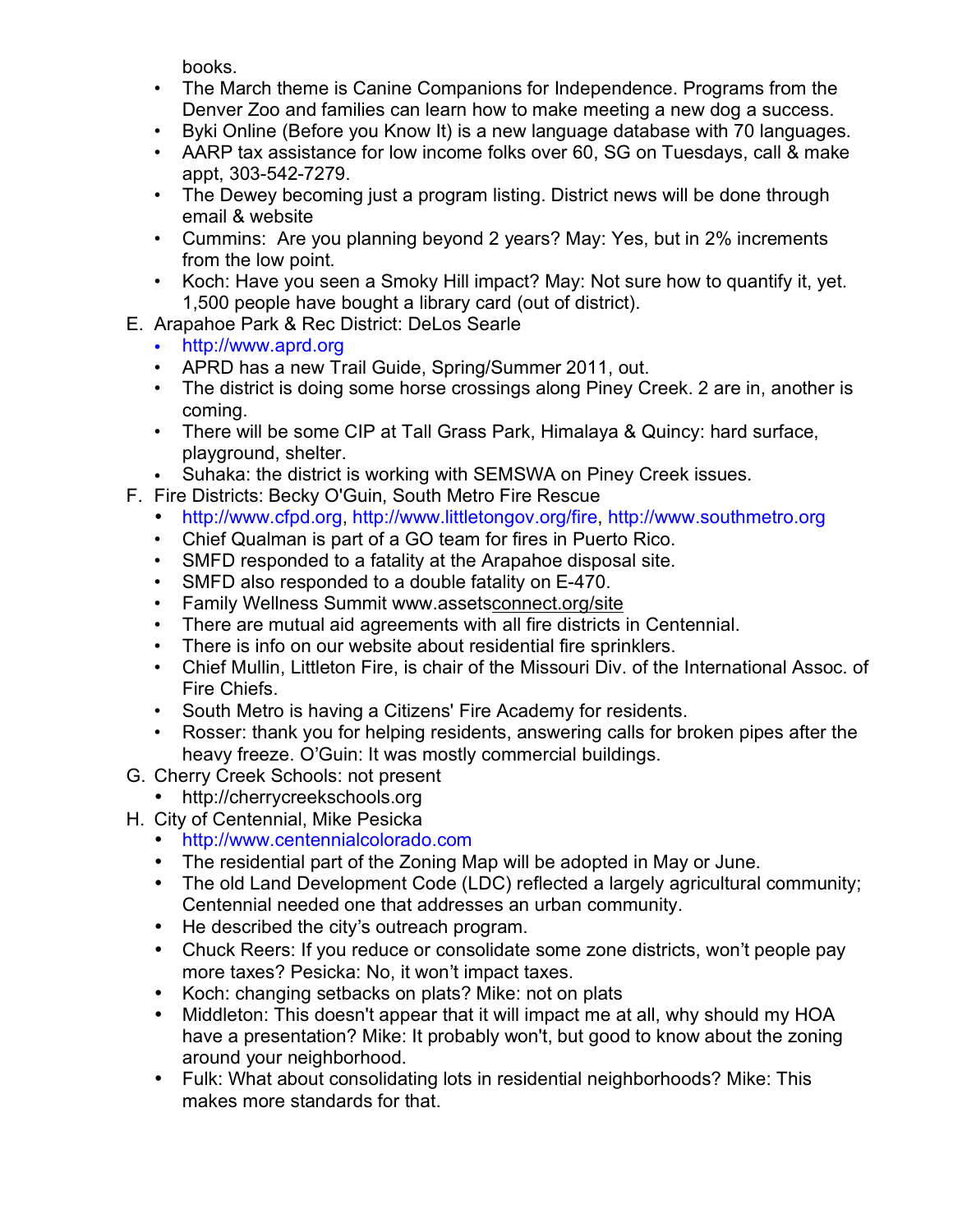books.

- The March theme is Canine Companions for Independence. Programs from the Denver Zoo and families can learn how to make meeting a new dog a success.
- Byki Online (Before you Know It) is a new language database with 70 languages.
- AARP tax assistance for low income folks over 60, SG on Tuesdays, call & make appt, 303-542-7279.
- The Dewey becoming just a program listing. District news will be done through email & website
- Cummins: Are you planning beyond 2 years? May: Yes, but in 2% increments from the low point.
- Koch: Have you seen a Smoky Hill impact? May: Not sure how to quantify it, yet. 1,500 people have bought a library card (out of district).
- E. Arapahoe Park & Rec District: DeLos Searle
	- http://www.aprd.org
	- APRD has a new Trail Guide, Spring/Summer 2011, out.
	- The district is doing some horse crossings along Piney Creek. 2 are in, another is coming.
	- There will be some CIP at Tall Grass Park, Himalaya & Quincy: hard surface, playground, shelter.
	- Suhaka: the district is working with SEMSWA on Piney Creek issues.
- F. Fire Districts: Becky O'Guin, South Metro Fire Rescue
	- http://www.cfpd.org, http://www.littletongov.org/fire, http://www.southmetro.org
	- Chief Qualman is part of a GO team for fires in Puerto Rico.
	- SMFD responded to a fatality at the Arapahoe disposal site.
	- SMFD also responded to a double fatality on E-470.
	- Family Wellness Summit www.assetsconnect.org/site
	- There are mutual aid agreements with all fire districts in Centennial.
	- There is info on our website about residential fire sprinklers.
	- Chief Mullin, Littleton Fire, is chair of the Missouri Div. of the International Assoc. of Fire Chiefs.
	- South Metro is having a Citizens' Fire Academy for residents.
	- Rosser: thank you for helping residents, answering calls for broken pipes after the heavy freeze. O'Guin: It was mostly commercial buildings.
- G. Cherry Creek Schools: not present
	- http://cherrycreekschools.org
- H. City of Centennial, Mike Pesicka
	- http://www.centennialcolorado.com
	- The residential part of the Zoning Map will be adopted in May or June.
	- The old Land Development Code (LDC) reflected a largely agricultural community; Centennial needed one that addresses an urban community.
	- He described the city's outreach program.
	- Chuck Reers: If you reduce or consolidate some zone districts, won't people pay more taxes? Pesicka: No, it won't impact taxes.
	- Koch: changing setbacks on plats? Mike: not on plats
	- Middleton: This doesn't appear that it will impact me at all, why should my HOA have a presentation? Mike: It probably won't, but good to know about the zoning around your neighborhood.
	- Fulk: What about consolidating lots in residential neighborhoods? Mike: This makes more standards for that.